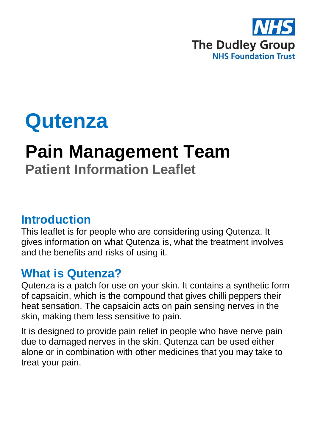

# **Qutenza**

## **Pain Management Team Patient Information Leaflet**

#### **Introduction**

This leaflet is for people who are considering using Qutenza. It gives information on what Qutenza is, what the treatment involves and the benefits and risks of using it.

#### **What is Qutenza?**

Qutenza is a patch for use on your skin. It contains a synthetic form of capsaicin, which is the compound that gives chilli peppers their heat sensation. The capsaicin acts on pain sensing nerves in the skin, making them less sensitive to pain.

It is designed to provide pain relief in people who have nerve pain due to damaged nerves in the skin. Qutenza can be used either alone or in combination with other medicines that you may take to treat your pain.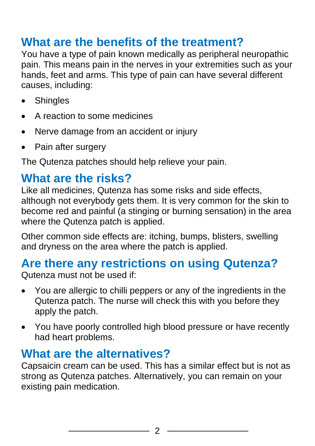### **What are the benefits of the treatment?**

You have a type of pain known medically as peripheral neuropathic pain. This means pain in the nerves in your extremities such as your hands, feet and arms. This type of pain can have several different causes, including:

- Shingles
- A reaction to some medicines
- Nerve damage from an accident or injury
- Pain after surgery

The Qutenza patches should help relieve your pain.

#### **What are the risks?**

Like all medicines, Qutenza has some risks and side effects, although not everybody gets them. It is very common for the skin to become red and painful (a stinging or burning sensation) in the area where the Qutenza patch is applied.

Other common side effects are: itching, bumps, blisters, swelling and dryness on the area where the patch is applied.

### **Are there any restrictions on using Qutenza?**

Qutenza must not be used if:

- You are allergic to chilli peppers or any of the ingredients in the Qutenza patch. The nurse will check this with you before they apply the patch.
- You have poorly controlled high blood pressure or have recently had heart problems.

#### **What are the alternatives?**

Capsaicin cream can be used. This has a similar effect but is not as strong as Qutenza patches. Alternatively, you can remain on your existing pain medication.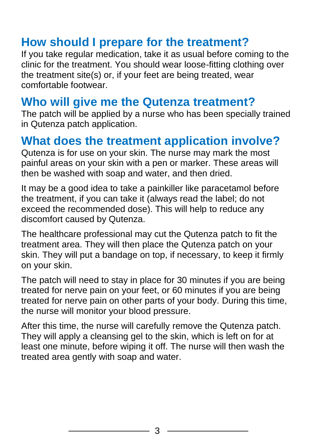#### **How should I prepare for the treatment?**

If you take regular medication, take it as usual before coming to the clinic for the treatment. You should wear loose-fitting clothing over the treatment site(s) or, if your feet are being treated, wear comfortable footwear.

#### **Who will give me the Qutenza treatment?**

The patch will be applied by a nurse who has been specially trained in Qutenza patch application.

#### **What does the treatment application involve?**

Qutenza is for use on your skin. The nurse may mark the most painful areas on your skin with a pen or marker. These areas will then be washed with soap and water, and then dried.

It may be a good idea to take a painkiller like paracetamol before the treatment, if you can take it (always read the label; do not exceed the recommended dose). This will help to reduce any discomfort caused by Qutenza.

The healthcare professional may cut the Qutenza patch to fit the treatment area. They will then place the Qutenza patch on your skin. They will put a bandage on top, if necessary, to keep it firmly on your skin.

The patch will need to stay in place for 30 minutes if you are being treated for nerve pain on your feet, or 60 minutes if you are being treated for nerve pain on other parts of your body. During this time, the nurse will monitor your blood pressure.

After this time, the nurse will carefully remove the Qutenza patch. They will apply a cleansing gel to the skin, which is left on for at least one minute, before wiping it off. The nurse will then wash the treated area gently with soap and water.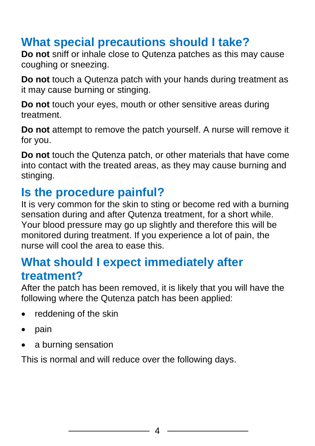## **What special precautions should I take?**

**Do not** sniff or inhale close to Qutenza patches as this may cause coughing or sneezing.

**Do not** touch a Qutenza patch with your hands during treatment as it may cause burning or stinging.

**Do not** touch your eyes, mouth or other sensitive areas during treatment.

**Do not** attempt to remove the patch yourself. A nurse will remove it for you.

**Do not** touch the Qutenza patch, or other materials that have come into contact with the treated areas, as they may cause burning and stinging.

#### **Is the procedure painful?**

It is very common for the skin to sting or become red with a burning sensation during and after Qutenza treatment, for a short while. Your blood pressure may go up slightly and therefore this will be monitored during treatment. If you experience a lot of pain, the nurse will cool the area to ease this.

#### **What should I expect immediately after treatment?**

After the patch has been removed, it is likely that you will have the following where the Qutenza patch has been applied:

- reddening of the skin
- pain
- a burning sensation

This is normal and will reduce over the following days.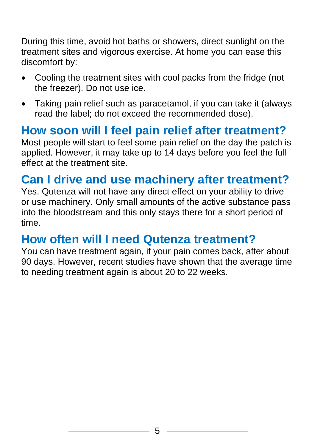During this time, avoid hot baths or showers, direct sunlight on the treatment sites and vigorous exercise. At home you can ease this discomfort by:

- Cooling the treatment sites with cool packs from the fridge (not the freezer). Do not use ice.
- Taking pain relief such as paracetamol, if you can take it (always read the label; do not exceed the recommended dose).

#### **How soon will I feel pain relief after treatment?**

Most people will start to feel some pain relief on the day the patch is applied. However, it may take up to 14 days before you feel the full effect at the treatment site.

#### **Can I drive and use machinery after treatment?**

Yes. Qutenza will not have any direct effect on your ability to drive or use machinery. Only small amounts of the active substance pass into the bloodstream and this only stays there for a short period of time.

#### **How often will I need Qutenza treatment?**

You can have treatment again, if your pain comes back, after about 90 days. However, recent studies have shown that the average time to needing treatment again is about 20 to 22 weeks.